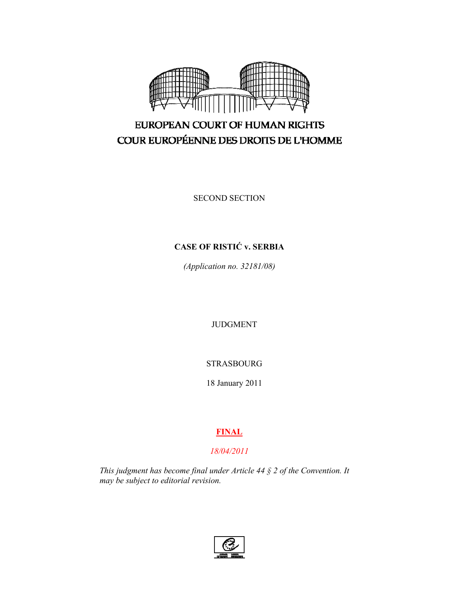

# EUROPEAN COURT OF HUMAN RIGHTS COUR EUROPÉENNE DES DROITS DE L'HOMME

SECOND SECTION

# **CASE OF RISTIĆ v. SERBIA**

*(Application no. 32181/08)* 

JUDGMENT

STRASBOURG

18 January 2011

## **FINAL**

## *18/04/2011*

*This judgment has become final under Article 44 § 2 of the Convention. It may be subject to editorial revision.* 

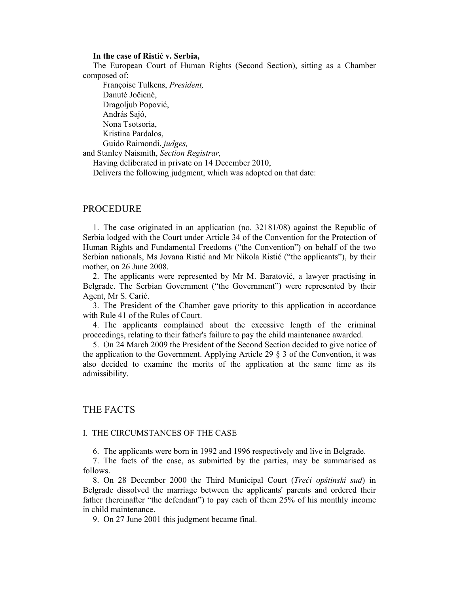#### **In the case of Ristić v. Serbia,**

The European Court of Human Rights (Second Section), sitting as a Chamber composed of:

 Françoise Tulkens, *President,*  Danutė Jočienė, Dragoljub Popović, András Sajó, Nona Tsotsoria, Kristina Pardalos, Guido Raimondi, *judges,* 

and Stanley Naismith, *Section Registrar,*

Having deliberated in private on 14 December 2010,

Delivers the following judgment, which was adopted on that date:

#### PROCEDURE

1. The case originated in an application (no. 32181/08) against the Republic of Serbia lodged with the Court under Article 34 of the Convention for the Protection of Human Rights and Fundamental Freedoms ("the Convention") on behalf of the two Serbian nationals, Ms Jovana Ristić and Mr Nikola Ristić ("the applicants"), by their mother, on 26 June 2008.

2. The applicants were represented by Mr M. Baratović, a lawyer practising in Belgrade. The Serbian Government ("the Government") were represented by their Agent, Mr S. Carić.

3. The President of the Chamber gave priority to this application in accordance with Rule 41 of the Rules of Court.

4. The applicants complained about the excessive length of the criminal proceedings, relating to their father's failure to pay the child maintenance awarded.

5. On 24 March 2009 the President of the Second Section decided to give notice of the application to the Government. Applying Article 29 § 3 of the Convention, it was also decided to examine the merits of the application at the same time as its admissibility.

## THE FACTS

#### I. THE CIRCUMSTANCES OF THE CASE

6. The applicants were born in 1992 and 1996 respectively and live in Belgrade.

7. The facts of the case, as submitted by the parties, may be summarised as follows.

8. On 28 December 2000 the Third Municipal Court (*Treći opštinski sud*) in Belgrade dissolved the marriage between the applicants' parents and ordered their father (hereinafter "the defendant") to pay each of them 25% of his monthly income in child maintenance.

9. On 27 June 2001 this judgment became final.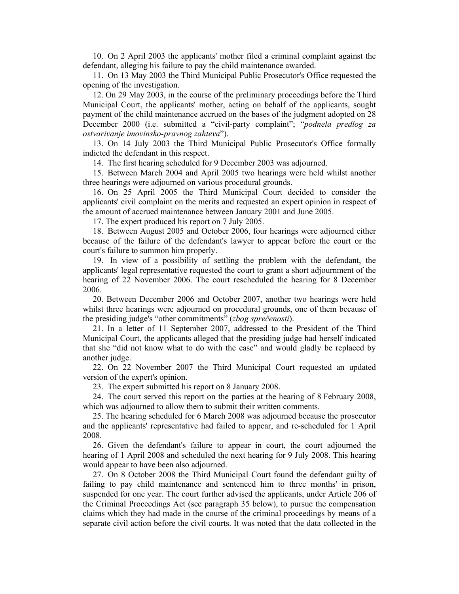10. On 2 April 2003 the applicants' mother filed a criminal complaint against the defendant, alleging his failure to pay the child maintenance awarded.

11. On 13 May 2003 the Third Municipal Public Prosecutor's Office requested the opening of the investigation.

12. On 29 May 2003, in the course of the preliminary proceedings before the Third Municipal Court, the applicants' mother, acting on behalf of the applicants, sought payment of the child maintenance accrued on the bases of the judgment adopted on 28 December 2000 (i.e. submitted a "civil-party complaint"; "*podnela predlog za ostvarivanje imovinsko-pravnog zahteva*").

13. On 14 July 2003 the Third Municipal Public Prosecutor's Office formally indicted the defendant in this respect.

14. The first hearing scheduled for 9 December 2003 was adjourned.

15. Between March 2004 and April 2005 two hearings were held whilst another three hearings were adjourned on various procedural grounds.

16. On 25 April 2005 the Third Municipal Court decided to consider the applicants' civil complaint on the merits and requested an expert opinion in respect of the amount of accrued maintenance between January 2001 and June 2005.

17. The expert produced his report on 7 July 2005.

18. Between August 2005 and October 2006, four hearings were adjourned either because of the failure of the defendant's lawyer to appear before the court or the court's failure to summon him properly.

19. In view of a possibility of settling the problem with the defendant, the applicants' legal representative requested the court to grant a short adjournment of the hearing of 22 November 2006. The court rescheduled the hearing for 8 December 2006.

20. Between December 2006 and October 2007, another two hearings were held whilst three hearings were adjourned on procedural grounds, one of them because of the presiding judge's "other commitments" (*zbog sprečenosti*).

21. In a letter of 11 September 2007, addressed to the President of the Third Municipal Court, the applicants alleged that the presiding judge had herself indicated that she "did not know what to do with the case" and would gladly be replaced by another judge.

22. On 22 November 2007 the Third Municipal Court requested an updated version of the expert's opinion.

23. The expert submitted his report on 8 January 2008.

24. The court served this report on the parties at the hearing of 8 February 2008, which was adjourned to allow them to submit their written comments.

25. The hearing scheduled for 6 March 2008 was adjourned because the prosecutor and the applicants' representative had failed to appear, and re-scheduled for 1 April 2008.

26. Given the defendant's failure to appear in court, the court adjourned the hearing of 1 April 2008 and scheduled the next hearing for 9 July 2008. This hearing would appear to have been also adjourned.

27. On 8 October 2008 the Third Municipal Court found the defendant guilty of failing to pay child maintenance and sentenced him to three months' in prison, suspended for one year. The court further advised the applicants, under Article 206 of the Criminal Proceedings Act (see paragraph 35 below), to pursue the compensation claims which they had made in the course of the criminal proceedings by means of a separate civil action before the civil courts. It was noted that the data collected in the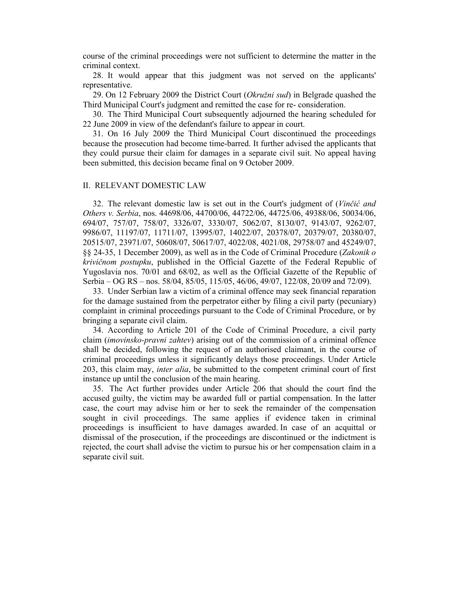course of the criminal proceedings were not sufficient to determine the matter in the criminal context.

28. It would appear that this judgment was not served on the applicants' representative.

29. On 12 February 2009 the District Court (*Okružni sud*) in Belgrade quashed the Third Municipal Court's judgment and remitted the case for re- consideration.

30. The Third Municipal Court subsequently adjourned the hearing scheduled for 22 June 2009 in view of the defendant's failure to appear in court.

31. On 16 July 2009 the Third Municipal Court discontinued the proceedings because the prosecution had become time-barred. It further advised the applicants that they could pursue their claim for damages in a separate civil suit. No appeal having been submitted, this decision became final on 9 October 2009.

#### II. RELEVANT DOMESTIC LAW

32. The relevant domestic law is set out in the Court's judgment of (*Vinčić and Others v. Serbia*, nos. 44698/06, 44700/06, 44722/06, 44725/06, 49388/06, 50034/06, 694/07, 757/07, 758/07, 3326/07, 3330/07, 5062/07, 8130/07, 9143/07, 9262/07, 9986/07, 11197/07, 11711/07, 13995/07, 14022/07, 20378/07, 20379/07, 20380/07, 20515/07, 23971/07, 50608/07, 50617/07, 4022/08, 4021/08, 29758/07 and 45249/07, §§ 24-35, 1 December 2009), as well as in the Code of Criminal Procedure (*Zakonik o krivičnom postupku*, published in the Official Gazette of the Federal Republic of Yugoslavia nos. 70/01 and 68/02, as well as the Official Gazette of the Republic of Serbia – OG RS – nos. 58/04, 85/05, 115/05, 46/06, 49/07, 122/08, 20/09 and 72/09).

33. Under Serbian law a victim of a criminal offence may seek financial reparation for the damage sustained from the perpetrator either by filing a civil party (pecuniary) complaint in criminal proceedings pursuant to the Code of Criminal Procedure, or by bringing a separate civil claim.

34. According to Article 201 of the Code of Criminal Procedure, a civil party claim (*imovinsko-pravni zahtev*) arising out of the commission of a criminal offence shall be decided, following the request of an authorised claimant, in the course of criminal proceedings unless it significantly delays those proceedings. Under Article 203, this claim may, *inter alia*, be submitted to the competent criminal court of first instance up until the conclusion of the main hearing.

35. The Act further provides under Article 206 that should the court find the accused guilty, the victim may be awarded full or partial compensation. In the latter case, the court may advise him or her to seek the remainder of the compensation sought in civil proceedings. The same applies if evidence taken in criminal proceedings is insufficient to have damages awarded. In case of an acquittal or dismissal of the prosecution, if the proceedings are discontinued or the indictment is rejected, the court shall advise the victim to pursue his or her compensation claim in a separate civil suit.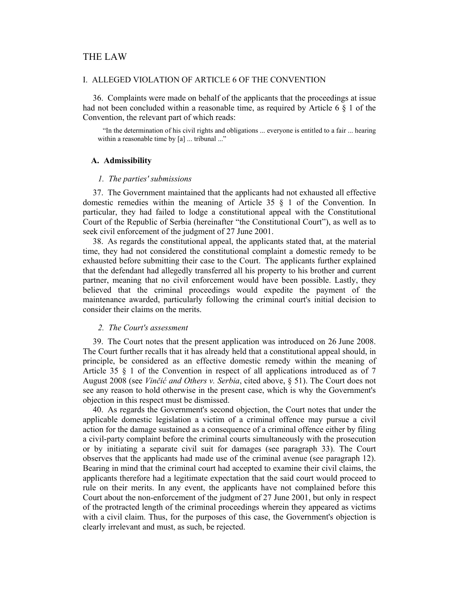## THE LAW

### I. ALLEGED VIOLATION OF ARTICLE 6 OF THE CONVENTION

36. Complaints were made on behalf of the applicants that the proceedings at issue had not been concluded within a reasonable time, as required by Article 6  $\S$  1 of the Convention, the relevant part of which reads:

"In the determination of his civil rights and obligations ... everyone is entitled to a fair ... hearing within a reasonable time by [a] ... tribunal ..."

#### **A. Admissibility**

#### *1. The parties' submissions*

37. The Government maintained that the applicants had not exhausted all effective domestic remedies within the meaning of Article 35 § 1 of the Convention. In particular, they had failed to lodge a constitutional appeal with the Constitutional Court of the Republic of Serbia (hereinafter "the Constitutional Court"), as well as to seek civil enforcement of the judgment of 27 June 2001.

38. As regards the constitutional appeal, the applicants stated that, at the material time, they had not considered the constitutional complaint a domestic remedy to be exhausted before submitting their case to the Court. The applicants further explained that the defendant had allegedly transferred all his property to his brother and current partner, meaning that no civil enforcement would have been possible. Lastly, they believed that the criminal proceedings would expedite the payment of the maintenance awarded, particularly following the criminal court's initial decision to consider their claims on the merits.

#### *2. The Court's assessment*

39. The Court notes that the present application was introduced on 26 June 2008. The Court further recalls that it has already held that a constitutional appeal should, in principle, be considered as an effective domestic remedy within the meaning of Article 35 § 1 of the Convention in respect of all applications introduced as of 7 August 2008 (see *Vinčić and Others v. Serbia*, cited above, § 51). The Court does not see any reason to hold otherwise in the present case, which is why the Government's objection in this respect must be dismissed.

40. As regards the Government's second objection, the Court notes that under the applicable domestic legislation a victim of a criminal offence may pursue a civil action for the damage sustained as a consequence of a criminal offence either by filing a civil-party complaint before the criminal courts simultaneously with the prosecution or by initiating a separate civil suit for damages (see paragraph 33). The Court observes that the applicants had made use of the criminal avenue (see paragraph 12). Bearing in mind that the criminal court had accepted to examine their civil claims, the applicants therefore had a legitimate expectation that the said court would proceed to rule on their merits. In any event, the applicants have not complained before this Court about the non-enforcement of the judgment of 27 June 2001, but only in respect of the protracted length of the criminal proceedings wherein they appeared as victims with a civil claim. Thus, for the purposes of this case, the Government's objection is clearly irrelevant and must, as such, be rejected.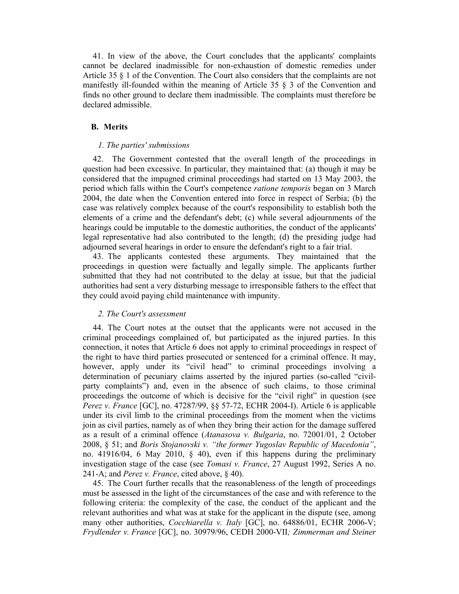41. In view of the above, the Court concludes that the applicants' complaints cannot be declared inadmissible for non-exhaustion of domestic remedies under Article 35 § 1 of the Convention. The Court also considers that the complaints are not manifestly ill-founded within the meaning of Article 35 § 3 of the Convention and finds no other ground to declare them inadmissible. The complaints must therefore be declared admissible.

#### **B. Merits**

#### *1. The parties' submissions*

42. The Government contested that the overall length of the proceedings in question had been excessive. In particular, they maintained that: (a) though it may be considered that the impugned criminal proceedings had started on 13 May 2003, the period which falls within the Court's competence *ratione temporis* began on 3 March 2004, the date when the Convention entered into force in respect of Serbia; (b) the case was relatively complex because of the court's responsibility to establish both the elements of a crime and the defendant's debt; (c) while several adjournments of the hearings could be imputable to the domestic authorities, the conduct of the applicants' legal representative had also contributed to the length; (d) the presiding judge had adjourned several hearings in order to ensure the defendant's right to a fair trial.

43. The applicants contested these arguments. They maintained that the proceedings in question were factually and legally simple. The applicants further submitted that they had not contributed to the delay at issue, but that the judicial authorities had sent a very disturbing message to irresponsible fathers to the effect that they could avoid paying child maintenance with impunity.

#### *2. The Court's assessment*

44. The Court notes at the outset that the applicants were not accused in the criminal proceedings complained of, but participated as the injured parties. In this connection, it notes that Article 6 does not apply to criminal proceedings in respect of the right to have third parties prosecuted or sentenced for a criminal offence. It may, however, apply under its "civil head" to criminal proceedings involving a determination of pecuniary claims asserted by the injured parties (so-called "civilparty complaints") and, even in the absence of such claims, to those criminal proceedings the outcome of which is decisive for the "civil right" in question (see *Perez v. France* [GC], no. 47287/99, §§ 57-72, ECHR 2004-I). Article 6 is applicable under its civil limb to the criminal proceedings from the moment when the victims join as civil parties, namely as of when they bring their action for the damage suffered as a result of a criminal offence (*Atanasova v. Bulgaria*, no. 72001/01, 2 October 2008, § 51; and *Boris Stojanovski v. "the former Yugoslav Republic of Macedonia"*, no. 41916/04, 6 May 2010,  $\S$  40), even if this happens during the preliminary investigation stage of the case (see *Tomasi v. France*, 27 August 1992, Series A no. 241-A; and *Perez v. France*, cited above, § 40).

45. The Court further recalls that the reasonableness of the length of proceedings must be assessed in the light of the circumstances of the case and with reference to the following criteria: the complexity of the case, the conduct of the applicant and the relevant authorities and what was at stake for the applicant in the dispute (see, among many other authorities, *Cocchiarella v. Italy* [GC], no. 64886/01, ECHR 2006-V; *Frydlender v. France* [GC], no. 30979/96, CEDH 2000-VII*; Zimmerman and Steiner*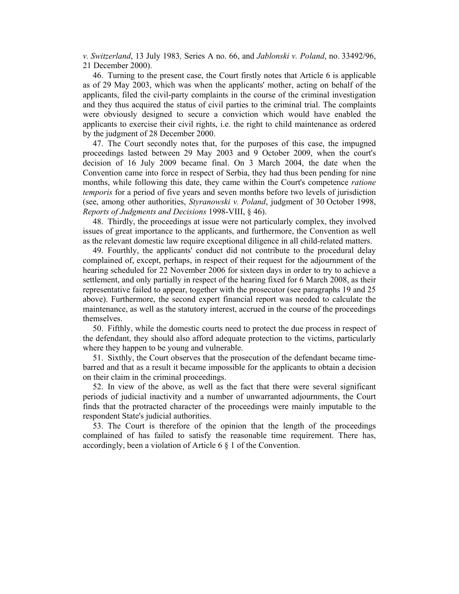*v. Switzerland*, 13 July 1983*,* Series A no. 66, and *Jablonski v. Poland*, no. 33492/96, 21 December 2000).

46. Turning to the present case, the Court firstly notes that Article 6 is applicable as of 29 May 2003, which was when the applicants' mother, acting on behalf of the applicants, filed the civil-party complaints in the course of the criminal investigation and they thus acquired the status of civil parties to the criminal trial. The complaints were obviously designed to secure a conviction which would have enabled the applicants to exercise their civil rights, i.e. the right to child maintenance as ordered by the judgment of 28 December 2000.

47. The Court secondly notes that, for the purposes of this case, the impugned proceedings lasted between 29 May 2003 and 9 October 2009, when the court's decision of 16 July 2009 became final. On 3 March 2004, the date when the Convention came into force in respect of Serbia, they had thus been pending for nine months, while following this date, they came within the Court's competence *ratione temporis* for a period of five years and seven months before two levels of jurisdiction (see, among other authorities, *Styranowski v. Poland*, judgment of 30 October 1998, *Reports of Judgments and Decisions* 1998-VIII, § 46).

48. Thirdly, the proceedings at issue were not particularly complex, they involved issues of great importance to the applicants, and furthermore, the Convention as well as the relevant domestic law require exceptional diligence in all child-related matters.

49. Fourthly, the applicants' conduct did not contribute to the procedural delay complained of, except, perhaps, in respect of their request for the adjournment of the hearing scheduled for 22 November 2006 for sixteen days in order to try to achieve a settlement, and only partially in respect of the hearing fixed for 6 March 2008, as their representative failed to appear, together with the prosecutor (see paragraphs 19 and 25 above). Furthermore, the second expert financial report was needed to calculate the maintenance, as well as the statutory interest, accrued in the course of the proceedings themselves.

50. Fifthly, while the domestic courts need to protect the due process in respect of the defendant, they should also afford adequate protection to the victims, particularly where they happen to be young and vulnerable.

51. Sixthly, the Court observes that the prosecution of the defendant became timebarred and that as a result it became impossible for the applicants to obtain a decision on their claim in the criminal proceedings.

52. In view of the above, as well as the fact that there were several significant periods of judicial inactivity and a number of unwarranted adjournments, the Court finds that the protracted character of the proceedings were mainly imputable to the respondent State's judicial authorities.

53. The Court is therefore of the opinion that the length of the proceedings complained of has failed to satisfy the reasonable time requirement. There has, accordingly, been a violation of Article 6 § 1 of the Convention.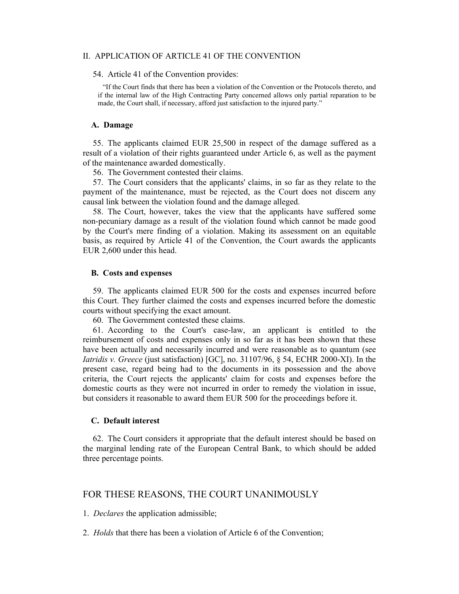#### II. APPLICATION OF ARTICLE 41 OF THE CONVENTION

54. Article 41 of the Convention provides:

"If the Court finds that there has been a violation of the Convention or the Protocols thereto, and if the internal law of the High Contracting Party concerned allows only partial reparation to be made, the Court shall, if necessary, afford just satisfaction to the injured party."

#### **A. Damage**

55. The applicants claimed EUR 25,500 in respect of the damage suffered as a result of a violation of their rights guaranteed under Article 6, as well as the payment of the maintenance awarded domestically.

56. The Government contested their claims.

57. The Court considers that the applicants' claims, in so far as they relate to the payment of the maintenance, must be rejected, as the Court does not discern any causal link between the violation found and the damage alleged.

58. The Court, however, takes the view that the applicants have suffered some non-pecuniary damage as a result of the violation found which cannot be made good by the Court's mere finding of a violation. Making its assessment on an equitable basis, as required by Article 41 of the Convention, the Court awards the applicants EUR 2,600 under this head.

#### **B. Costs and expenses**

59. The applicants claimed EUR 500 for the costs and expenses incurred before this Court. They further claimed the costs and expenses incurred before the domestic courts without specifying the exact amount.

60. The Government contested these claims.

61. According to the Court's case-law, an applicant is entitled to the reimbursement of costs and expenses only in so far as it has been shown that these have been actually and necessarily incurred and were reasonable as to quantum (see *Iatridis v. Greece* (just satisfaction) [GC], no. 31107/96, § 54, ECHR 2000-XI). In the present case, regard being had to the documents in its possession and the above criteria, the Court rejects the applicants' claim for costs and expenses before the domestic courts as they were not incurred in order to remedy the violation in issue, but considers it reasonable to award them EUR 500 for the proceedings before it.

## **C. Default interest**

62. The Court considers it appropriate that the default interest should be based on the marginal lending rate of the European Central Bank, to which should be added three percentage points.

## FOR THESE REASONS, THE COURT UNANIMOUSLY

1. *Declares* the application admissible;

2. *Holds* that there has been a violation of Article 6 of the Convention;